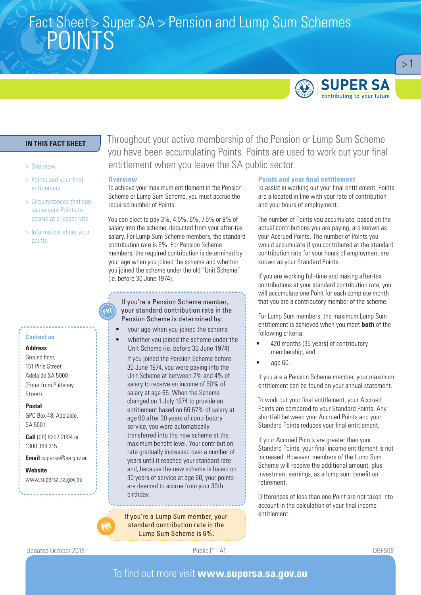# Fact Sheet > Super SA > Pension and Lump Sum Schemes<br>DOINITO POINTS



 $>1$ 

### **IN THIS FACT SHEET**

#### > Overview

- > Points and your final entitlement
- > Circumstances that can cause your Points to accrue at a lesser rate
- > Information about your points

#### **Contact us**

#### **Address**

Ground floor, 151 Pirie Street Adelaide SA 5000 (Enter from Pulteney Street)

#### **Postal**

GPO Box 48, Adelaide, SA 5001

**Call** (08) 8207 2094 or 1300 369 315

**Email** supersa@sa.gov.au

**Website** www.supersa.sa.gov.au

### Throughout your active membership of the Pension or Lump Sum Scheme you have been accumulating Points. Points are used to work out your final entitlement when you leave the SA public sector.

#### **Overview**

To achieve your maximum entitlement in the Pension Scheme or Lump Sum Scheme, you must accrue the required number of Points.

You can elect to pay 3%, 4.5%, 6%, 7.5% or 9% of salary into the scheme, deducted from your after-tax salary. For Lump Sum Scheme members, the standard contribution rate is 6%. For Pension Scheme members, the required contribution is determined by your age when you joined the scheme and whether you joined the scheme under the old "Unit Scheme" (ie. before 30 June 1974).

If you're a Pension Scheme member, your standard contribution rate in the Pension Scheme is determined by:

- vour age when you joined the scheme
- whether you joined the scheme under the Unit Scheme (ie. before 30 June 1974)

If you joined the Pension Scheme before 30 June 1974, you were paying into the Unit Scheme at between 2% and 4% of salary to receive an income of 60% of salary at age 65. When the Scheme changed on 1 July 1974 to provide an entitlement based on 66.67% of salary at age 60 after 30 years of contributory service, you were automatically transferred into the new scheme at the maximum benefit level. Your contribution rate gradually increased over a number of years until it reached your standard rate and, because the new scheme is based on 30 years of service at age 60, your points are deemed to accrue from your 30th birthday.

If you're a Lump Sum member, your standard contribution rate in the Lump Sum Scheme is 6%.

#### **Points and your final entitlement**

To assist in working out your final entitlement, Points are allocated in line with your rate of contribution and your hours of employment.

The number of Points you accumulate, based on the actual contributions you are paying, are known as your Accrued Points. The number of Points you would accumulate if you contributed at the standard contribution rate for your hours of employment are known as your Standard Points.

If you are working full-time and making after-tax contributions at your standard contribution rate, you will accumulate one Point for each complete month that you are a contributory member of the scheme.

For Lump Sum members, the maximum Lump Sum entitlement is achieved when you meet **both** of the following criteria:

- 420 months (35 years) of contributory membership, and
- age 60.

If you are a Pension Scheme member, your maximum entitlement can be found on your annual statement.

To work out your final entitlement, your Accrued Points are compared to your Standard Points. Any shortfall between your Accrued Points and your Standard Points reduces your final entitlement.

If your Accrued Points are greater than your Standard Points, your final income entitlement is not increased. However, members of the Lump Sum Scheme will receive the additional amount, plus investment earnings, as a lump sum benefit on retirement.

Differences of less than one Point are not taken into account in the calculation of your final income entitlement.

Updated October 2018 Public I1 - A1 DBFS08

### To find out more visit **www.supersa.sa.gov.au**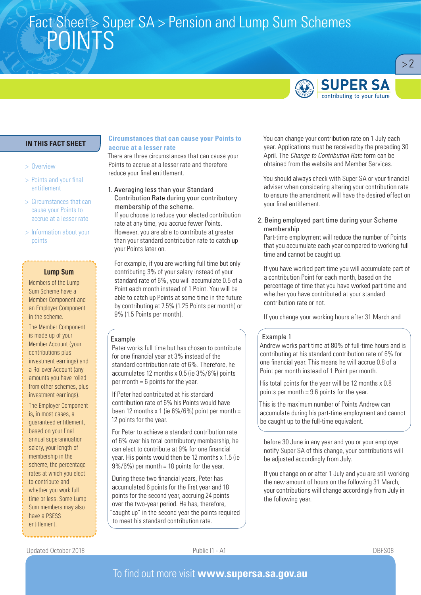# Fact Sheet > Super SA > Pension and Lump Sum Schemes<br>DOINITO POINTS



 $> 2$ 

### **IN THIS FACT SHEET**

#### > Overview

- > Points and your final entitlement
- > Circumstances that can cause your Points to accrue at a lesser rate
- > Information about your points

#### **Lump Sum**

Members of the Lump Sum Scheme have a Member Component and an Employer Component in the scheme.

The Member Component is made up of your Member Account (your contributions plus investment earnings) and a Rollover Account (any amounts you have rolled from other schemes, plus investment earnings).

The Employer Component is, in most cases, a guaranteed entitlement, based on your final annual superannuation salary, your length of membership in the scheme, the percentage rates at which you elect to contribute and whether you work full time or less. Some Lump Sum members may also have a PSESS entitlement.

#### **Circumstances that can cause your Points to accrue at a lesser rate**

There are three circumstances that can cause your Points to accrue at a lesser rate and therefore reduce your final entitlement.

1. Averaging less than your Standard Contribution Rate during your contributory membership of the scheme. If you choose to reduce your elected contribution rate at any time, you accrue fewer Points. However, you are able to contribute at greater than your standard contribution rate to catch up your Points later on.

For example, if you are working full time but only contributing 3% of your salary instead of your standard rate of 6%, you will accumulate 0.5 of a Point each month instead of 1 Point. You will be able to catch up Points at some time in the future by contributing at 7.5% (1.25 Points per month) or 9% (1.5 Points per month).

#### Example

Peter works full time but has chosen to contribute for one financial year at 3% instead of the standard contribution rate of 6%. Therefore, he accumulates 12 months x 0.5 (ie 3%/6%) points per month  $= 6$  points for the year.

If Peter had contributed at his standard contribution rate of 6% his Points would have been 12 months x 1 (ie  $6\%/6\%$ ) point per month = 12 points for the year.

For Peter to achieve a standard contribution rate of 6% over his total contributory membership, he can elect to contribute at 9% for one financial year. His points would then be 12 months x 1.5 (ie  $9\%/6\%$  per month = 18 points for the year.

During these two financial years, Peter has accumulated 6 points for the first year and 18 points for the second year, accruing 24 points over the two-year period. He has, therefore, "caught up" in the second year the points required to meet his standard contribution rate.

You can change your contribution rate on 1 July each year. Applications must be received by the preceding 30 April. The *Change to Contribution Rate* form can be obtained from the website and Member Services.

You should always check with Super SA or your financial adviser when considering altering your contribution rate to ensure the amendment will have the desired effect on your final entitlement.

#### 2. Being employed part time during your Scheme membership

Part-time employment will reduce the number of Points that you accumulate each year compared to working full time and cannot be caught up.

If you have worked part time you will accumulate part of a contribution Point for each month, based on the percentage of time that you have worked part time and whether you have contributed at your standard contribution rate or not.

If you change your working hours after 31 March and

#### Example 1

Andrew works part time at 80% of full-time hours and is contributing at his standard contribution rate of 6% for one financial year. This means he will accrue 0.8 of a Point per month instead of 1 Point per month.

His total points for the year will be 12 months x 0.8 points per month = 9.6 points for the year.

This is the maximum number of Points Andrew can accumulate during his part-time employment and cannot be caught up to the full-time equivalent.

before 30 June in any year and you or your employer notify Super SA of this change, your contributions will be adjusted accordingly from July.

If you change on or after 1 July and you are still working the new amount of hours on the following 31 March, your contributions will change accordingly from July in the following year.

Updated October 2018 Public I1 - A1 DBFS08